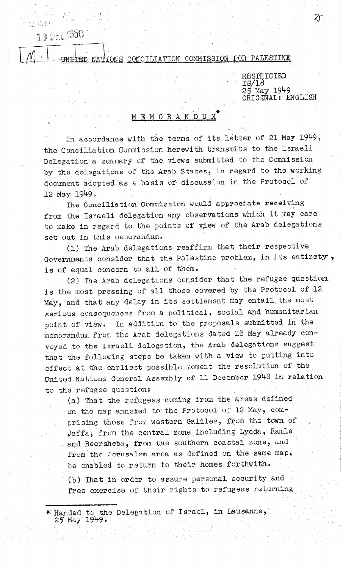## 19 DEC 1950

 $100\, \mathrm{km/s}$ 

## NATIONS CONCILIATION COMMISSION FOR PALESTINE

RESTRICTED  $-$  1s/18 25 May 1949 ORIGINAL: ENGLISH

## MEMORANDUM<sup>\*</sup>

In accordance with the terms of its letter of 21 May 1949, the Conciliation Commission herewith transmits to the Israeli Delegation a summary of the views submitted to the Commission by the delegations of the Arab States, in regard to the working document adopted as a basis of discussion in the Protocol of  $12$  May  $1949$ .

The Conciliation Commission would appreciate receiving from the Israeli delegation any observations which it may care to make in regard to the points of view of the Arab delegations set out in this menorandum.

(1) The Arab delegations reaffirm that their respective Governments consider that the Palestine problem, in its entirety, is of equal concern to all of them.

(2) The Arab delegations consider that the refugee question. is the most pressing of all those covered by the Protocol of 12 May, and that any delay in its settlement may entail the most serious consequences from a political, social and humanitarian point of view. In addition to the proposals submitted in the memorandum from the Arab delegations dated 18 May already conveyed to the Israeli delegation, the Arab delegations suggest that the following steps be taken with a view to putting into effect at the earliest possible moment the resolution of the Unitod Naticins Ganeral Assembly of 11 December 1948 in relation to the refugee question:

(a) That the refugees coming from the areas defined on the map annexed to the Protocol of 12 May, comprising those from western Galilee, from the town of Jaffa, from the central zone including Lydda, Ramle and Beersheba, from the southern coastal zone, and from the Jerusalem area as defined on the same map. be enabled to return to their homes forthwith. (b) That in order to assure personal security and free exercise of their rights to refugees returning

\* Handed to the Delegation of Israel, in Lausanne, 25 May' 1949,

 $Z\!f$